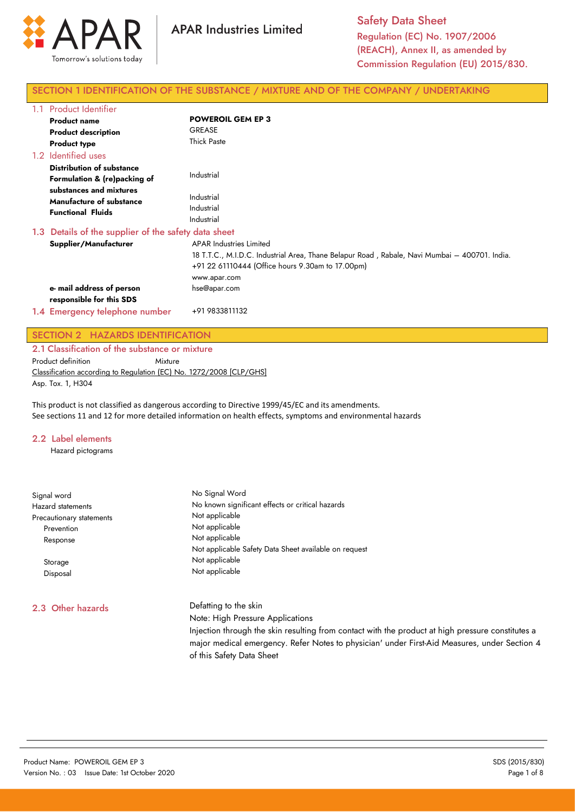

## SECTION 1 IDENTIFICATION OF THE SUBSTANCE / MIXTURE AND OF THE COMPANY / UNDERTAKING

| 1.1 Product Identifier                                                                 |                                                                                                                                                                                                     |
|----------------------------------------------------------------------------------------|-----------------------------------------------------------------------------------------------------------------------------------------------------------------------------------------------------|
| <b>Product name</b>                                                                    | <b>POWEROIL GEM EP 3</b>                                                                                                                                                                            |
| <b>Product description</b>                                                             | <b>GREASE</b>                                                                                                                                                                                       |
| <b>Product type</b>                                                                    | <b>Thick Paste</b>                                                                                                                                                                                  |
| 1.2 Identified uses                                                                    |                                                                                                                                                                                                     |
| <b>Distribution of substance</b><br>Formulation & (re)packing of                       | Industrial                                                                                                                                                                                          |
| substances and mixtures<br><b>Manufacture of substance</b><br><b>Functional Fluids</b> | Industrial<br>Industrial<br>Industrial                                                                                                                                                              |
| 1.3 Details of the supplier of the safety data sheet                                   |                                                                                                                                                                                                     |
| Supplier/Manufacturer                                                                  | <b>APAR Industries Limited</b><br>18 T.T.C., M.I.D.C. Industrial Area, Thane Belapur Road, Rabale, Navi Mumbai - 400701. India.<br>+91 22 61110444 (Office hours 9.30am to 17.00pm)<br>www.apar.com |
| e- mail address of person<br>responsible for this SDS                                  | hse@apar.com                                                                                                                                                                                        |
| 1.4 Emergency telephone number                                                         | +91 9833811132                                                                                                                                                                                      |

## SECTION 2 HAZARDS IDENTIFICATION

2.1 Classification of the substance or mixture Product definition Mixture Classification according to Regulation (EC) No. 1272/2008 [CLP/GHS] Asp. Tox. 1, H304

This product is not classified as dangerous according to Directive 1999/45/EC and its amendments. See sections 11 and 12 for more detailed information on health effects, symptoms and environmental hazards

## 2.2 Label elements

Hazard pictograms

| Signal word<br>Hazard statements<br>Precautionary statements | No Signal Word<br>No known significant effects or critical hazards<br>Not applicable                                      |  |  |
|--------------------------------------------------------------|---------------------------------------------------------------------------------------------------------------------------|--|--|
| Prevention                                                   | Not applicable                                                                                                            |  |  |
| Response                                                     | Not applicable<br>Not applicable Safety Data Sheet available on request                                                   |  |  |
| Storage                                                      | Not applicable                                                                                                            |  |  |
| Disposal                                                     | Not applicable                                                                                                            |  |  |
| 2.3 Other hazards                                            | Defatting to the skin                                                                                                     |  |  |
|                                                              | Note: High Pressure Applications                                                                                          |  |  |
|                                                              | Injection through the skin resulting from contact with the product at high pressure constitutes a                         |  |  |
|                                                              | major medical emergency. Refer Notes to physician' under First-Aid Measures, under Section 4<br>of this Safety Data Sheet |  |  |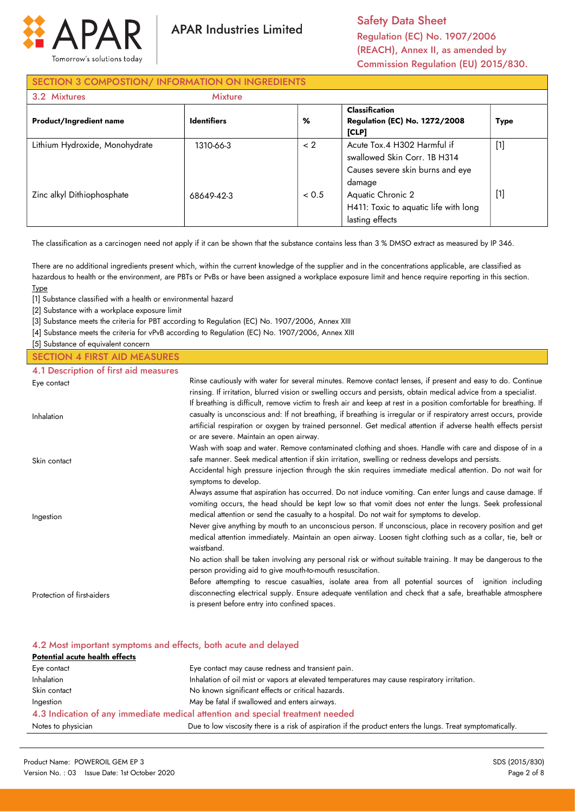

**APAR Industries Limited** 

Safety Data Sheet Regulation (EC) No. 1907/2006 (REACH), Annex II, as amended by Commission Regulation (EU) 2015/830.

# SECTION 3 COMPOSTION/ INFORMATION ON INGREDIENTS

| 3.2 Mixtures                   | <b>Mixture</b>     |       |                                                                                                           |             |
|--------------------------------|--------------------|-------|-----------------------------------------------------------------------------------------------------------|-------------|
| <b>Product/Ingredient name</b> | <b>Identifiers</b> | %     | <b>Classification</b><br><b>Regulation (EC) No. 1272/2008</b><br>[CLP]                                    | <b>Type</b> |
| Lithium Hydroxide, Monohydrate | 1310-66-3          | < 2   | Acute Tox.4 H302 Harmful if<br>swallowed Skin Corr. 1B H314<br>Causes severe skin burns and eye<br>damage | $[1]$       |
| Zinc alkyl Dithiophosphate     | 68649-42-3         | < 0.5 | Aquatic Chronic 2<br>H411: Toxic to aquatic life with long<br>lasting effects                             | $[1]$       |

The classification as a carcinogen need not apply if it can be shown that the substance contains less than 3 % DMSO extract as measured by IP 346.

There are no additional ingredients present which, within the current knowledge of the supplier and in the concentrations applicable, are classified as hazardous to health or the environment, are PBTs or PvBs or have been assigned a workplace exposure limit and hence require reporting in this section. Type

[1] Substance classified with a health or environmental hazard

[2] Substance with a workplace exposure limit

[3] Substance meets the criteria for PBT according to Regulation (EC) No. 1907/2006, Annex XIII

[4] Substance meets the criteria for vPvB according to Regulation (EC) No. 1907/2006, Annex XIII

[5] Substance of equivalent concern

# SECTION 4 FIRST AID MEASURES

4.1 Description of first aid measures

| Eye contact                | Rinse cautiously with water for several minutes. Remove contact lenses, if present and easy to do. Continue        |
|----------------------------|--------------------------------------------------------------------------------------------------------------------|
|                            | rinsing. If irritation, blurred vision or swelling occurs and persists, obtain medical advice from a specialist.   |
|                            | If breathing is difficult, remove victim to fresh air and keep at rest in a position comfortable for breathing. If |
| Inhalation                 | casualty is unconscious and: If not breathing, if breathing is irregular or if respiratory arrest occurs, provide  |
|                            | artificial respiration or oxygen by trained personnel. Get medical attention if adverse health effects persist     |
|                            | or are severe. Maintain an open airway.                                                                            |
|                            | Wash with soap and water. Remove contaminated clothing and shoes. Handle with care and dispose of in a             |
| Skin contact               | safe manner. Seek medical attention if skin irritation, swelling or redness develops and persists.                 |
|                            | Accidental high pressure injection through the skin requires immediate medical attention. Do not wait for          |
|                            | symptoms to develop.                                                                                               |
|                            | Always assume that aspiration has occurred. Do not induce vomiting. Can enter lungs and cause damage. If           |
|                            | vomiting occurs, the head should be kept low so that vomit does not enter the lungs. Seek professional             |
| Ingestion                  | medical attention or send the casualty to a hospital. Do not wait for symptoms to develop.                         |
|                            | Never give anything by mouth to an unconscious person. If unconscious, place in recovery position and get          |
|                            | medical attention immediately. Maintain an open airway. Loosen tight clothing such as a collar, tie, belt or       |
|                            | waistband.                                                                                                         |
|                            | No action shall be taken involving any personal risk or without suitable training. It may be dangerous to the      |
|                            | person providing aid to give mouth-to-mouth resuscitation.                                                         |
|                            | Before attempting to rescue casualties, isolate area from all potential sources of ignition including              |
| Protection of first-aiders | disconnecting electrical supply. Ensure adequate ventilation and check that a safe, breathable atmosphere          |
|                            | is present before entry into confined spaces.                                                                      |

# 4.2 Most important symptoms and effects, both acute and delayed

| Potential acute health effects                                                 |                                                                                                            |  |
|--------------------------------------------------------------------------------|------------------------------------------------------------------------------------------------------------|--|
| Eye contact                                                                    | Eye contact may cause redness and transient pain.                                                          |  |
| <b>Inhalation</b>                                                              | Inhalation of oil mist or vapors at elevated temperatures may cause respiratory irritation.                |  |
| Skin contact                                                                   | No known significant effects or critical hazards.                                                          |  |
| Ingestion                                                                      | May be fatal if swallowed and enters airways.                                                              |  |
| 4.3 Indication of any immediate medical attention and special treatment needed |                                                                                                            |  |
| Notes to physician                                                             | Due to low viscosity there is a risk of aspiration if the product enters the lungs. Treat symptomatically. |  |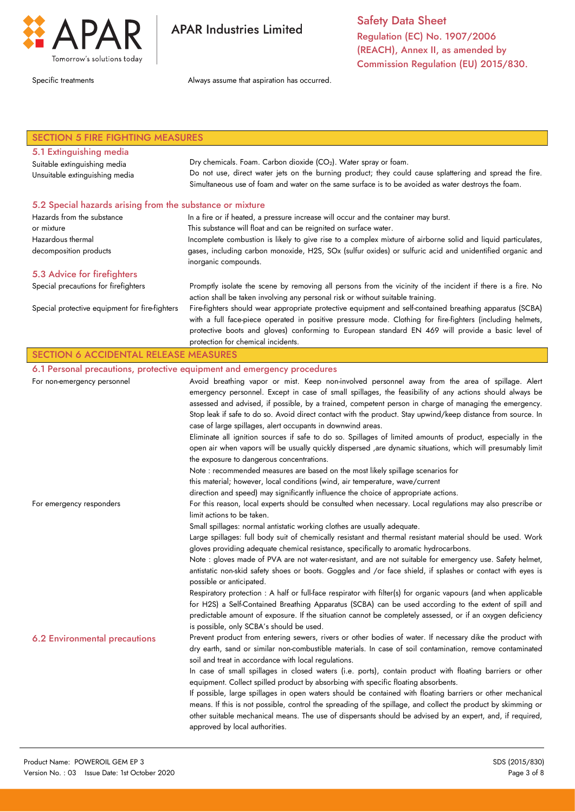

**APAR Industries Limited** 

Safety Data Sheet Regulation (EC) No. 1907/2006 (REACH), Annex II, as amended by Commission Regulation (EU) 2015/830.

Specific treatments **Always** assume that aspiration has occurred.

| <b>SECTION 5 FIRE FIGHTING MEASURES</b>                   |                                                                                                                                                                                                                                                              |  |  |
|-----------------------------------------------------------|--------------------------------------------------------------------------------------------------------------------------------------------------------------------------------------------------------------------------------------------------------------|--|--|
| 5.1 Extinguishing media                                   |                                                                                                                                                                                                                                                              |  |  |
| Suitable extinguishing media                              | Dry chemicals. Foam. Carbon dioxide (CO <sub>2</sub> ). Water spray or foam.                                                                                                                                                                                 |  |  |
| Unsuitable extinguishing media                            | Do not use, direct water jets on the burning product; they could cause splattering and spread the fire.                                                                                                                                                      |  |  |
|                                                           | Simultaneous use of foam and water on the same surface is to be avoided as water destroys the foam.                                                                                                                                                          |  |  |
| 5.2 Special hazards arising from the substance or mixture |                                                                                                                                                                                                                                                              |  |  |
| Hazards from the substance                                | In a fire or if heated, a pressure increase will occur and the container may burst.                                                                                                                                                                          |  |  |
| or mixture                                                | This substance will float and can be reignited on surface water.                                                                                                                                                                                             |  |  |
| Hazardous thermal                                         | Incomplete combustion is likely to give rise to a complex mixture of airborne solid and liquid particulates,                                                                                                                                                 |  |  |
| decomposition products                                    | gases, including carbon monoxide, H2S, SOx (sulfur oxides) or sulfuric acid and unidentified organic and<br>inorganic compounds.                                                                                                                             |  |  |
| 5.3 Advice for firefighters                               |                                                                                                                                                                                                                                                              |  |  |
| Special precautions for firefighters                      | Promptly isolate the scene by removing all persons from the vicinity of the incident if there is a fire. No<br>action shall be taken involving any personal risk or without suitable training.                                                               |  |  |
| Special protective equipment for fire-fighters            | Fire-fighters should wear appropriate protective equipment and self-contained breathing apparatus (SCBA)<br>with a full face-piece operated in positive pressure mode. Clothing for fire-fighters (including helmets,                                        |  |  |
|                                                           | protective boots and gloves) conforming to European standard EN 469 will provide a basic level of                                                                                                                                                            |  |  |
|                                                           | protection for chemical incidents.                                                                                                                                                                                                                           |  |  |
| <b>SECTION 6 ACCIDENTAL RELEASE MEASURES</b>              |                                                                                                                                                                                                                                                              |  |  |
|                                                           | 6.1 Personal precautions, protective equipment and emergency procedures                                                                                                                                                                                      |  |  |
| For non-emergency personnel                               | Avoid breathing vapor or mist. Keep non-involved personnel away from the area of spillage. Alert                                                                                                                                                             |  |  |
|                                                           | emergency personnel. Except in case of small spillages, the feasibility of any actions should always be                                                                                                                                                      |  |  |
|                                                           | assessed and advised, if possible, by a trained, competent person in charge of managing the emergency.                                                                                                                                                       |  |  |
|                                                           | Stop leak if safe to do so. Avoid direct contact with the product. Stay upwind/keep distance from source. In                                                                                                                                                 |  |  |
|                                                           | case of large spillages, alert occupants in downwind areas.                                                                                                                                                                                                  |  |  |
|                                                           | Eliminate all ignition sources if safe to do so. Spillages of limited amounts of product, especially in the                                                                                                                                                  |  |  |
|                                                           | open air when vapors will be usually quickly dispersed ,are dynamic situations, which will presumably limit                                                                                                                                                  |  |  |
|                                                           | the exposure to dangerous concentrations.                                                                                                                                                                                                                    |  |  |
|                                                           | Note : recommended measures are based on the most likely spillage scenarios for                                                                                                                                                                              |  |  |
|                                                           | this material; however, local conditions (wind, air temperature, wave/current                                                                                                                                                                                |  |  |
| For emergency responders                                  | direction and speed) may significantly influence the choice of appropriate actions.<br>For this reason, local experts should be consulted when necessary. Local regulations may also prescribe or                                                            |  |  |
|                                                           | limit actions to be taken.                                                                                                                                                                                                                                   |  |  |
|                                                           | Small spillages: normal antistatic working clothes are usually adequate.                                                                                                                                                                                     |  |  |
|                                                           | Large spillages: full body suit of chemically resistant and thermal resistant material should be used. Work                                                                                                                                                  |  |  |
|                                                           | gloves providing adequate chemical resistance, specifically to aromatic hydrocarbons.                                                                                                                                                                        |  |  |
|                                                           | Note : gloves made of PVA are not water-resistant, and are not suitable for emergency use. Safety helmet,                                                                                                                                                    |  |  |
|                                                           | antistatic non-skid safety shoes or boots. Goggles and /or face shield, if splashes or contact with eyes is<br>possible or anticipated.                                                                                                                      |  |  |
|                                                           | Respiratory protection : A half or full-face respirator with filter(s) for organic vapours (and when applicable                                                                                                                                              |  |  |
|                                                           | for H2S) a Self-Contained Breathing Apparatus (SCBA) can be used according to the extent of spill and                                                                                                                                                        |  |  |
|                                                           | predictable amount of exposure. If the situation cannot be completely assessed, or if an oxygen deficiency                                                                                                                                                   |  |  |
|                                                           | is possible, only SCBA's should be used.                                                                                                                                                                                                                     |  |  |
| <b>6.2 Environmental precautions</b>                      | Prevent product from entering sewers, rivers or other bodies of water. If necessary dike the product with                                                                                                                                                    |  |  |
|                                                           | dry earth, sand or similar non-combustible materials. In case of soil contamination, remove contaminated                                                                                                                                                     |  |  |
|                                                           | soil and treat in accordance with local regulations.                                                                                                                                                                                                         |  |  |
|                                                           | In case of small spillages in closed waters (i.e. ports), contain product with floating barriers or other<br>equipment. Collect spilled product by absorbing with specific floating absorbents.                                                              |  |  |
|                                                           | If possible, large spillages in open waters should be contained with floating barriers or other mechanical                                                                                                                                                   |  |  |
|                                                           | means. If this is not possible, control the spreading of the spillage, and collect the product by skimming or<br>other suitable mechanical means. The use of dispersants should be advised by an expert, and, if required,<br>approved by local authorities. |  |  |
|                                                           |                                                                                                                                                                                                                                                              |  |  |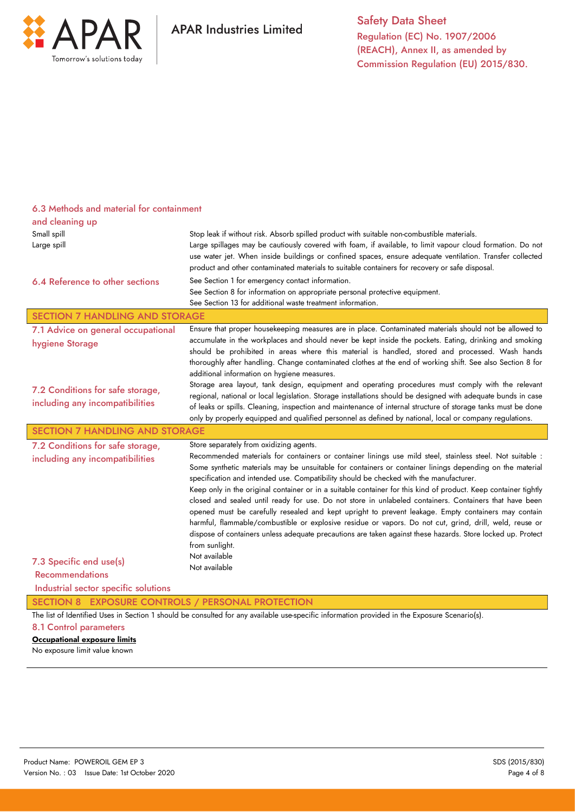

| 6.3 Methods and material for containment                                                                                                      |                                                                                                                                                                                                                                                                                                                                                                                                                                                                                                                                                                                                                                                                                                                                                                                                                                                                                                                                                             |  |  |
|-----------------------------------------------------------------------------------------------------------------------------------------------|-------------------------------------------------------------------------------------------------------------------------------------------------------------------------------------------------------------------------------------------------------------------------------------------------------------------------------------------------------------------------------------------------------------------------------------------------------------------------------------------------------------------------------------------------------------------------------------------------------------------------------------------------------------------------------------------------------------------------------------------------------------------------------------------------------------------------------------------------------------------------------------------------------------------------------------------------------------|--|--|
| and cleaning up                                                                                                                               |                                                                                                                                                                                                                                                                                                                                                                                                                                                                                                                                                                                                                                                                                                                                                                                                                                                                                                                                                             |  |  |
| Small spill                                                                                                                                   | Stop leak if without risk. Absorb spilled product with suitable non-combustible materials.                                                                                                                                                                                                                                                                                                                                                                                                                                                                                                                                                                                                                                                                                                                                                                                                                                                                  |  |  |
| Large spill                                                                                                                                   | Large spillages may be cautiously covered with foam, if available, to limit vapour cloud formation. Do not<br>use water jet. When inside buildings or confined spaces, ensure adequate ventilation. Transfer collected<br>product and other contaminated materials to suitable containers for recovery or safe disposal.                                                                                                                                                                                                                                                                                                                                                                                                                                                                                                                                                                                                                                    |  |  |
| 6.4 Reference to other sections                                                                                                               | See Section 1 for emergency contact information.<br>See Section 8 for information on appropriate personal protective equipment.<br>See Section 13 for additional waste treatment information.                                                                                                                                                                                                                                                                                                                                                                                                                                                                                                                                                                                                                                                                                                                                                               |  |  |
| <b>SECTION 7 HANDLING AND STORAGE</b>                                                                                                         |                                                                                                                                                                                                                                                                                                                                                                                                                                                                                                                                                                                                                                                                                                                                                                                                                                                                                                                                                             |  |  |
| 7.1 Advice on general occupational<br>hygiene Storage                                                                                         | Ensure that proper housekeeping measures are in place. Contaminated materials should not be allowed to<br>accumulate in the workplaces and should never be kept inside the pockets. Eating, drinking and smoking<br>should be prohibited in areas where this material is handled, stored and processed. Wash hands<br>thoroughly after handling. Change contaminated clothes at the end of working shift. See also Section 8 for<br>additional information on hygiene measures.                                                                                                                                                                                                                                                                                                                                                                                                                                                                             |  |  |
| 7.2 Conditions for safe storage,<br>including any incompatibilities                                                                           | Storage area layout, tank design, equipment and operating procedures must comply with the relevant<br>regional, national or local legislation. Storage installations should be designed with adequate bunds in case<br>of leaks or spills. Cleaning, inspection and maintenance of internal structure of storage tanks must be done<br>only by properly equipped and qualified personnel as defined by national, local or company regulations.                                                                                                                                                                                                                                                                                                                                                                                                                                                                                                              |  |  |
| <b>SECTION 7 HANDLING AND STORAGE</b>                                                                                                         |                                                                                                                                                                                                                                                                                                                                                                                                                                                                                                                                                                                                                                                                                                                                                                                                                                                                                                                                                             |  |  |
| 7.2 Conditions for safe storage,<br>including any incompatibilities                                                                           | Store separately from oxidizing agents.<br>Recommended materials for containers or container linings use mild steel, stainless steel. Not suitable :<br>Some synthetic materials may be unsuitable for containers or container linings depending on the material<br>specification and intended use. Compatibility should be checked with the manufacturer.<br>Keep only in the original container or in a suitable container for this kind of product. Keep container tightly<br>closed and sealed until ready for use. Do not store in unlabeled containers. Containers that have been<br>opened must be carefully resealed and kept upright to prevent leakage. Empty containers may contain<br>harmful, flammable/combustible or explosive residue or vapors. Do not cut, grind, drill, weld, reuse or<br>dispose of containers unless adequate precautions are taken against these hazards. Store locked up. Protect<br>from sunlight.<br>Not available |  |  |
| 7.3 Specific end use(s)                                                                                                                       | Not available                                                                                                                                                                                                                                                                                                                                                                                                                                                                                                                                                                                                                                                                                                                                                                                                                                                                                                                                               |  |  |
| <b>Recommendations</b>                                                                                                                        |                                                                                                                                                                                                                                                                                                                                                                                                                                                                                                                                                                                                                                                                                                                                                                                                                                                                                                                                                             |  |  |
| Industrial sector specific solutions                                                                                                          |                                                                                                                                                                                                                                                                                                                                                                                                                                                                                                                                                                                                                                                                                                                                                                                                                                                                                                                                                             |  |  |
| SECTION 8 EXPOSURE CONTROLS / PERSONAL PROTECTION                                                                                             |                                                                                                                                                                                                                                                                                                                                                                                                                                                                                                                                                                                                                                                                                                                                                                                                                                                                                                                                                             |  |  |
| The list of Identified Uses in Section 1 should be consulted for any available use-specific information provided in the Exposure Scenario(s). |                                                                                                                                                                                                                                                                                                                                                                                                                                                                                                                                                                                                                                                                                                                                                                                                                                                                                                                                                             |  |  |
| 8.1 Control parameters<br><b>Occupational exposure limits</b>                                                                                 |                                                                                                                                                                                                                                                                                                                                                                                                                                                                                                                                                                                                                                                                                                                                                                                                                                                                                                                                                             |  |  |
|                                                                                                                                               |                                                                                                                                                                                                                                                                                                                                                                                                                                                                                                                                                                                                                                                                                                                                                                                                                                                                                                                                                             |  |  |

No exposure limit value known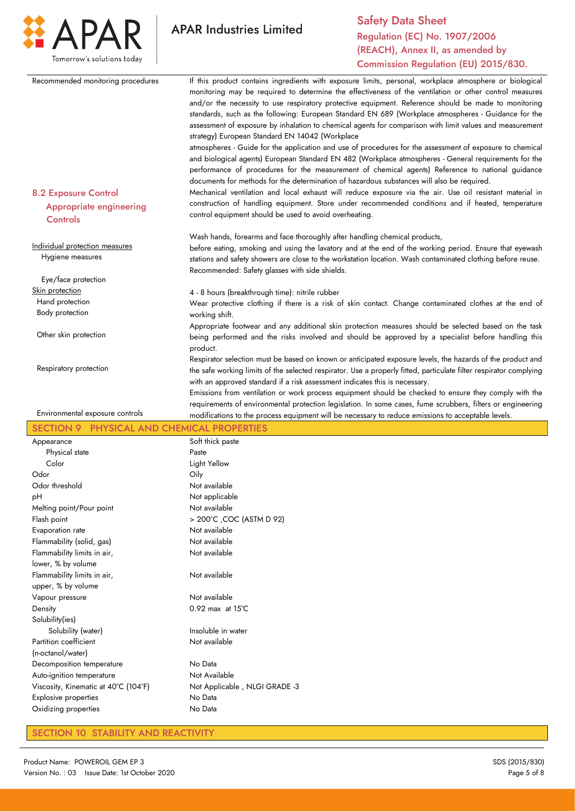

|                                                                                  | Commission Regulation (EU) 2015/830.                                                                                                                                                                                                                                                                                                                                                                                                                                                                                                                                                                                                                                                                                                                                                                                                                                                                                                                                                                                    |
|----------------------------------------------------------------------------------|-------------------------------------------------------------------------------------------------------------------------------------------------------------------------------------------------------------------------------------------------------------------------------------------------------------------------------------------------------------------------------------------------------------------------------------------------------------------------------------------------------------------------------------------------------------------------------------------------------------------------------------------------------------------------------------------------------------------------------------------------------------------------------------------------------------------------------------------------------------------------------------------------------------------------------------------------------------------------------------------------------------------------|
| Recommended monitoring procedures                                                | If this product contains ingredients with exposure limits, personal, workplace atmosphere or biological<br>monitoring may be required to determine the effectiveness of the ventilation or other control measures<br>and/or the necessity to use respiratory protective equipment. Reference should be made to monitoring<br>standards, such as the following: European Standard EN 689 (Workplace atmospheres - Guidance for the<br>assessment of exposure by inhalation to chemical agents for comparison with limit values and measurement<br>strategy) European Standard EN 14042 (Workplace<br>atmospheres - Guide for the application and use of procedures for the assessment of exposure to chemical<br>and biological agents) European Standard EN 482 (Workplace atmospheres - General requirements for the<br>performance of procedures for the measurement of chemical agents) Reference to national guidance<br>documents for methods for the determination of hazardous substances will also be required. |
| <b>8.2 Exposure Control</b><br><b>Appropriate engineering</b><br><b>Controls</b> | Mechanical ventilation and local exhaust will reduce exposure via the air. Use oil resistant material in<br>construction of handling equipment. Store under recommended conditions and if heated, temperature<br>control equipment should be used to avoid overheating.                                                                                                                                                                                                                                                                                                                                                                                                                                                                                                                                                                                                                                                                                                                                                 |
|                                                                                  | Wash hands, forearms and face thoroughly after handling chemical products,                                                                                                                                                                                                                                                                                                                                                                                                                                                                                                                                                                                                                                                                                                                                                                                                                                                                                                                                              |
| Individual protection measures<br>Hygiene measures                               | before eating, smoking and using the lavatory and at the end of the working period. Ensure that eyewash<br>stations and safety showers are close to the workstation location. Wash contaminated clothing before reuse.<br>Recommended: Safety glasses with side shields.                                                                                                                                                                                                                                                                                                                                                                                                                                                                                                                                                                                                                                                                                                                                                |
| Eye/face protection                                                              |                                                                                                                                                                                                                                                                                                                                                                                                                                                                                                                                                                                                                                                                                                                                                                                                                                                                                                                                                                                                                         |
| Skin protection                                                                  | 4 - 8 hours (breakthrough time): nitrile rubber                                                                                                                                                                                                                                                                                                                                                                                                                                                                                                                                                                                                                                                                                                                                                                                                                                                                                                                                                                         |
| Hand protection                                                                  | Wear protective clothing if there is a risk of skin contact. Change contaminated clothes at the end of                                                                                                                                                                                                                                                                                                                                                                                                                                                                                                                                                                                                                                                                                                                                                                                                                                                                                                                  |
| Body protection                                                                  | working shift.                                                                                                                                                                                                                                                                                                                                                                                                                                                                                                                                                                                                                                                                                                                                                                                                                                                                                                                                                                                                          |
| Other skin protection                                                            | Appropriate footwear and any additional skin protection measures should be selected based on the task<br>being performed and the risks involved and should be approved by a specialist before handling this<br>product.                                                                                                                                                                                                                                                                                                                                                                                                                                                                                                                                                                                                                                                                                                                                                                                                 |
| Respiratory protection                                                           | Respirator selection must be based on known or anticipated exposure levels, the hazards of the product and<br>the safe working limits of the selected respirator. Use a properly fitted, particulate filter respirator complying<br>with an approved standard if a risk assessment indicates this is necessary.                                                                                                                                                                                                                                                                                                                                                                                                                                                                                                                                                                                                                                                                                                         |
|                                                                                  |                                                                                                                                                                                                                                                                                                                                                                                                                                                                                                                                                                                                                                                                                                                                                                                                                                                                                                                                                                                                                         |
| Environmental exposure controls                                                  | Emissions from ventilation or work process equipment should be checked to ensure they comply with the<br>requirements of environmental protection legislation. In some cases, fume scrubbers, filters or engineering<br>modifications to the process equipment will be necessary to reduce emissions to acceptable levels.                                                                                                                                                                                                                                                                                                                                                                                                                                                                                                                                                                                                                                                                                              |
| <b>SECTION 9</b>                                                                 | PHYSICAL AND CHEMICAL PROPERTIES                                                                                                                                                                                                                                                                                                                                                                                                                                                                                                                                                                                                                                                                                                                                                                                                                                                                                                                                                                                        |
| Appearance                                                                       | Soft thick paste                                                                                                                                                                                                                                                                                                                                                                                                                                                                                                                                                                                                                                                                                                                                                                                                                                                                                                                                                                                                        |
| Physical state                                                                   | Paste                                                                                                                                                                                                                                                                                                                                                                                                                                                                                                                                                                                                                                                                                                                                                                                                                                                                                                                                                                                                                   |
| Color                                                                            | Light Yellow                                                                                                                                                                                                                                                                                                                                                                                                                                                                                                                                                                                                                                                                                                                                                                                                                                                                                                                                                                                                            |
| Odor                                                                             | Oily                                                                                                                                                                                                                                                                                                                                                                                                                                                                                                                                                                                                                                                                                                                                                                                                                                                                                                                                                                                                                    |
| Odor threshold                                                                   | Not available                                                                                                                                                                                                                                                                                                                                                                                                                                                                                                                                                                                                                                                                                                                                                                                                                                                                                                                                                                                                           |
| pH                                                                               | Not applicable                                                                                                                                                                                                                                                                                                                                                                                                                                                                                                                                                                                                                                                                                                                                                                                                                                                                                                                                                                                                          |
| Melting point/Pour point                                                         | Not available                                                                                                                                                                                                                                                                                                                                                                                                                                                                                                                                                                                                                                                                                                                                                                                                                                                                                                                                                                                                           |
| Flash point                                                                      | > 200°C , COC (ASTM D 92)                                                                                                                                                                                                                                                                                                                                                                                                                                                                                                                                                                                                                                                                                                                                                                                                                                                                                                                                                                                               |
| Evaporation rate                                                                 | Not available                                                                                                                                                                                                                                                                                                                                                                                                                                                                                                                                                                                                                                                                                                                                                                                                                                                                                                                                                                                                           |
| Flammability (solid, gas)                                                        | Not available                                                                                                                                                                                                                                                                                                                                                                                                                                                                                                                                                                                                                                                                                                                                                                                                                                                                                                                                                                                                           |
| Flammability limits in air,<br>lower, % by volume                                | Not available                                                                                                                                                                                                                                                                                                                                                                                                                                                                                                                                                                                                                                                                                                                                                                                                                                                                                                                                                                                                           |
| Flammability limits in air,                                                      | Not available                                                                                                                                                                                                                                                                                                                                                                                                                                                                                                                                                                                                                                                                                                                                                                                                                                                                                                                                                                                                           |
| upper, % by volume                                                               |                                                                                                                                                                                                                                                                                                                                                                                                                                                                                                                                                                                                                                                                                                                                                                                                                                                                                                                                                                                                                         |
| Vapour pressure                                                                  | Not available                                                                                                                                                                                                                                                                                                                                                                                                                                                                                                                                                                                                                                                                                                                                                                                                                                                                                                                                                                                                           |
| Density                                                                          | $0.92$ max at $15^{\circ}$ C                                                                                                                                                                                                                                                                                                                                                                                                                                                                                                                                                                                                                                                                                                                                                                                                                                                                                                                                                                                            |
| Solubility(ies)                                                                  |                                                                                                                                                                                                                                                                                                                                                                                                                                                                                                                                                                                                                                                                                                                                                                                                                                                                                                                                                                                                                         |
| Solubility (water)                                                               | Insoluble in water                                                                                                                                                                                                                                                                                                                                                                                                                                                                                                                                                                                                                                                                                                                                                                                                                                                                                                                                                                                                      |
| Partition coefficient                                                            | Not available                                                                                                                                                                                                                                                                                                                                                                                                                                                                                                                                                                                                                                                                                                                                                                                                                                                                                                                                                                                                           |
| (n-octanol/water)                                                                |                                                                                                                                                                                                                                                                                                                                                                                                                                                                                                                                                                                                                                                                                                                                                                                                                                                                                                                                                                                                                         |
| Decomposition temperature                                                        | No Data                                                                                                                                                                                                                                                                                                                                                                                                                                                                                                                                                                                                                                                                                                                                                                                                                                                                                                                                                                                                                 |
| Auto-ignition temperature                                                        | Not Available                                                                                                                                                                                                                                                                                                                                                                                                                                                                                                                                                                                                                                                                                                                                                                                                                                                                                                                                                                                                           |
| Viscosity, Kinematic at 40°C (104°F)                                             | Not Applicable, NLGI GRADE -3                                                                                                                                                                                                                                                                                                                                                                                                                                                                                                                                                                                                                                                                                                                                                                                                                                                                                                                                                                                           |
| <b>Explosive properties</b>                                                      | No Data                                                                                                                                                                                                                                                                                                                                                                                                                                                                                                                                                                                                                                                                                                                                                                                                                                                                                                                                                                                                                 |

### SECTION 10 STABILITY AND REACTIVITY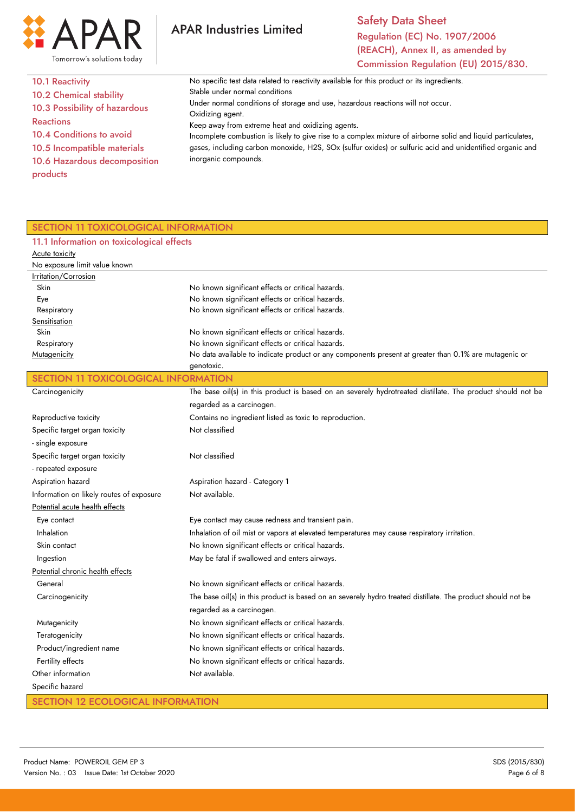

Safety Data Sheet Regulation (EC) No. 1907/2006 (REACH), Annex II, as amended by Commission Regulation (EU) 2015/830.

| <b>10.1 Reactivity</b>         | No specific test data related to reactivity available for this product or its ingredients.                   |
|--------------------------------|--------------------------------------------------------------------------------------------------------------|
| <b>10.2 Chemical stability</b> | Stable under normal conditions                                                                               |
| 10.3 Possibility of hazardous  | Under normal conditions of storage and use, hazardous reactions will not occur.                              |
| <b>Reactions</b>               | Oxidizing agent.                                                                                             |
|                                | Keep away from extreme heat and oxidizing agents.                                                            |
| 10.4 Conditions to avoid       | Incomplete combustion is likely to give rise to a complex mixture of airborne solid and liquid particulates, |
| 10.5 Incompatible materials    | gases, including carbon monoxide, H2S, SOx (sulfur oxides) or sulfuric acid and unidentified organic and     |
| 10.6 Hazardous decomposition   | inorganic compounds.                                                                                         |
| products                       |                                                                                                              |
|                                |                                                                                                              |

**APAR Industries Limited** 

# SECTION 11 TOXICOLOGICAL INFORMATION

#### 11.1 Information on toxicological effects Acute toxicity No exposure limit value known Irritation/Corrosion Skin Eye Respiratory **Sensitisation**  Skin Respiratory **Mutagenicity** No known significant effects or critical hazards. No known significant effects or critical hazards. No known significant effects or critical hazards. No known significant effects or critical hazards. No known significant effects or critical hazards. No data available to indicate product or any components present at greater than 0.1% are mutagenic or genotoxic. SECTION 11 TOXICOLOGICAL INFORMATION **Carcinogenicity** Reproductive toxicity Specific target organ toxicity - single exposure Specific target organ toxicity - repeated exposure Aspiration hazard Information on likely routes of exposure Potential acute health effects Eye contact Inhalation Skin contact Ingestion Potential chronic health effects General **Carcinogenicity Mutagenicity Teratogenicity**  Product/ingredient name Fertility effects Other information Specific hazard The base oil(s) in this product is based on an severely hydrotreated distillate. The product should not be regarded as a carcinogen. Contains no ingredient listed as toxic to reproduction. Not classified Not classified Aspiration hazard - Category 1 Not available. Eye contact may cause redness and transient pain. Inhalation of oil mist or vapors at elevated temperatures may cause respiratory irritation. No known significant effects or critical hazards. May be fatal if swallowed and enters airways. No known significant effects or critical hazards. The base oil(s) in this product is based on an severely hydro treated distillate. The product should not be regarded as a carcinogen. No known significant effects or critical hazards. No known significant effects or critical hazards. No known significant effects or critical hazards. No known significant effects or critical hazards. Not available.

## SECTION 12 ECOLOGICAL INFORMATION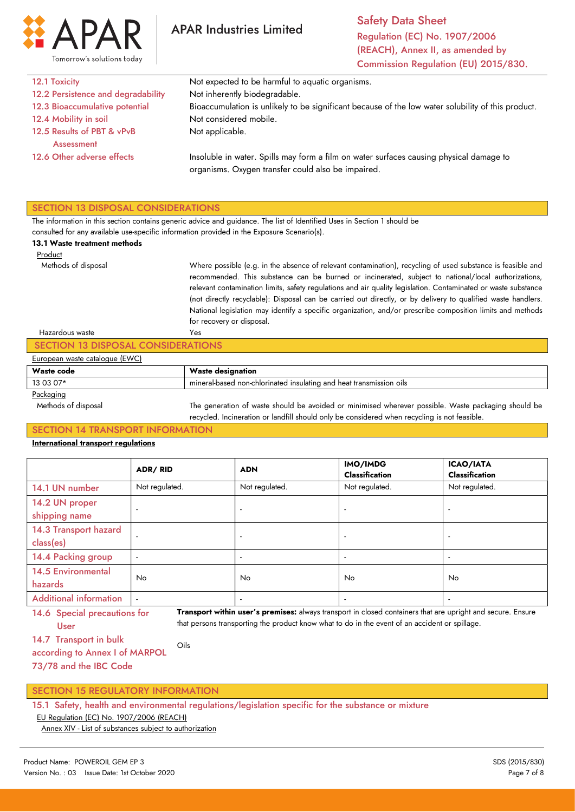

| 12.1 Toxicity                            | Not expected to be harmful to aquatic organisms.                                                                                              |
|------------------------------------------|-----------------------------------------------------------------------------------------------------------------------------------------------|
| 12.2 Persistence and degradability       | Not inherently biodegradable.                                                                                                                 |
| 12.3 Bioaccumulative potential           | Bioaccumulation is unlikely to be significant because of the low water solubility of this product.                                            |
| 12.4 Mobility in soil                    | Not considered mobile.                                                                                                                        |
| 12.5 Results of PBT & vPvB<br>Assessment | Not applicable.                                                                                                                               |
| 12.6 Other adverse effects               | Insoluble in water. Spills may form a film on water surfaces causing physical damage to<br>organisms. Oxygen transfer could also be impaired. |
|                                          |                                                                                                                                               |

The information in this section contains generic advice and guidance. The list of Identified Uses in Section 1 should be

consulted for any available use-specific information provided in the Exposure Scenario(s).

#### 13.1 Waste treatment methods

 Product Methods of disposal

Where possible (e.g. in the absence of relevant contamination), recycling of used substance is feasible and recommended. This substance can be burned or incinerated, subject to national/local authorizations, relevant contamination limits, safety regulations and air quality legislation. Contaminated or waste substance (not directly recyclable): Disposal can be carried out directly, or by delivery to qualified waste handlers. National legislation may identify a specific organization, and/or prescribe composition limits and methods for recovery or disposal. Yes

| Hazardous waste                    | Yes                                                                                                 |  |
|------------------------------------|-----------------------------------------------------------------------------------------------------|--|
| SECTION 13 DISPOSAL CONSIDERATIONS |                                                                                                     |  |
| European waste catalogue (EWC)     |                                                                                                     |  |
| Waste code                         | <b>Waste designation</b>                                                                            |  |
| 13 03 07*                          | mineral-based non-chlorinated insulating and heat transmission oils                                 |  |
| Packaging                          |                                                                                                     |  |
| Methods of disposal                | The generation of waste should be avoided or minimised wherever possible. Waste packaging should be |  |
|                                    | recycled. Incineration or landfill should only be considered when recycling is not feasible.        |  |

### SECTION 14 TRANSPORT INFORMATION

#### International transport regulations

|                                      | ADR/RID                  | <b>ADN</b>     | IMO/IMDG<br><b>Classification</b> | <b>ICAO/IATA</b><br><b>Classification</b> |
|--------------------------------------|--------------------------|----------------|-----------------------------------|-------------------------------------------|
| 14.1 UN number                       | Not regulated.           | Not regulated. | Not regulated.                    | Not regulated.                            |
| 14.2 UN proper<br>shipping name      | $\overline{a}$           |                |                                   |                                           |
| 14.3 Transport hazard<br>class(es)   | $\overline{\phantom{a}}$ |                |                                   |                                           |
| 14.4 Packing group                   | $\overline{a}$           |                |                                   |                                           |
| <b>14.5 Environmental</b><br>hazards | No.                      | <b>No</b>      | No                                | No                                        |
| <b>Additional information</b>        | $\overline{a}$           |                |                                   |                                           |

14.6 Special precautions for User

Transport within user's premises: always transport in closed containers that are upright and secure. Ensure that persons transporting the product know what to do in the event of an accident or spillage.

according to Annex I of MARPOL Oils

73/78 and the IBC Code

### SECTION 15 REGULATORY INFORMATION

15.1 Safety, health and environmental regulations/legislation specific for the substance or mixture

EU Regulation (EC) No. 1907/2006 (REACH)

Annex XIV - List of substances subject to authorization

<sup>14.7</sup> Transport in bulk